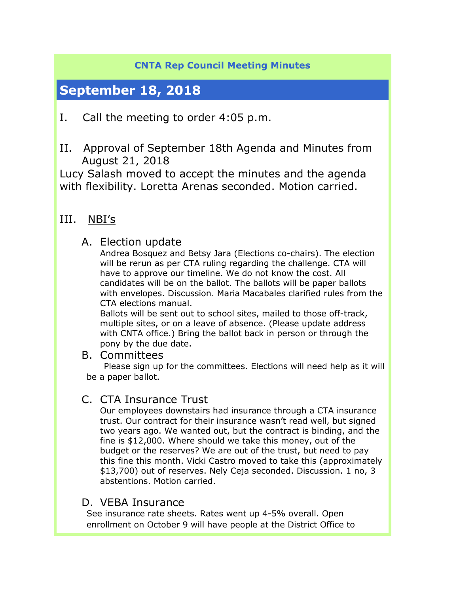### **CNTA Rep Council Meeting Minutes**

# **September 18, 2018**

- I. Call the meeting to order 4:05 p.m.
- II. Approval of September 18th Agenda and Minutes from August 21, 2018

Lucy Salash moved to accept the minutes and the agenda with flexibility. Loretta Arenas seconded. Motion carried.

## III. NBI's

### A. Election update

Andrea Bosquez and Betsy Jara (Elections co-chairs). The election will be rerun as per CTA ruling regarding the challenge. CTA will have to approve our timeline. We do not know the cost. All candidates will be on the ballot. The ballots will be paper ballots with envelopes. Discussion. Maria Macabales clarified rules from the CTA elections manual.

Ballots will be sent out to school sites, mailed to those off-track, multiple sites, or on a leave of absence. (Please update address with CNTA office.) Bring the ballot back in person or through the pony by the due date.

B. Committees<br>Please sign up for the committees. Elections will need help as it will be a paper ballot.

### C. CTA Insurance Trust

Our employees downstairs had insurance through a CTA insurance trust. Our contract for their insurance wasn't read well, but signed two years ago. We wanted out, but the contract is binding, and the fine is \$12,000. Where should we take this money, out of the budget or the reserves? We are out of the trust, but need to pay this fine this month. Vicki Castro moved to take this (approximately \$13,700) out of reserves. Nely Ceja seconded. Discussion. 1 no, 3 abstentions. Motion carried.

### D. VEBA Insurance

See insurance rate sheets. Rates went up 4-5% overall. Open enrollment on October 9 will have people at the District Office to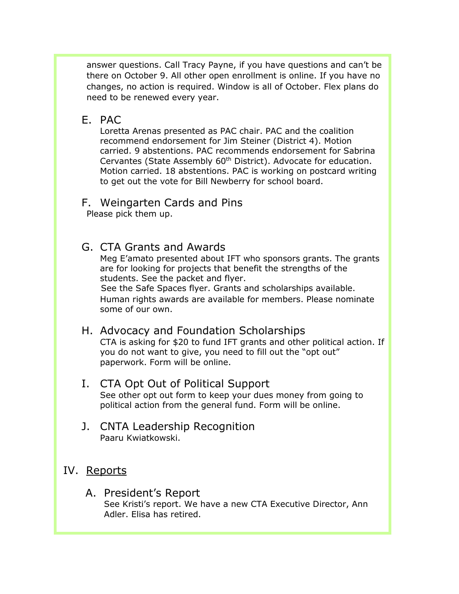answer questions. Call Tracy Payne, if you have questions and can't be there on October 9. All other open enrollment is online. If you have no changes, no action is required. Window is all of October. Flex plans do need to be renewed every year.

#### E. PAC

Loretta Arenas presented as PAC chair. PAC and the coalition recommend endorsement for Jim Steiner (District 4). Motion carried. 9 abstentions. PAC recommends endorsement for Sabrina Cervantes (State Assembly 60<sup>th</sup> District). Advocate for education. Motion carried. 18 abstentions. PAC is working on postcard writing to get out the vote for Bill Newberry for school board.

#### F. Weingarten Cards and Pins

Please pick them up.

### G. CTA Grants and Awards

Meg E'amato presented about IFT who sponsors grants. The grants are for looking for projects that benefit the strengths of the students. See the packet and flyer.

 See the Safe Spaces flyer. Grants and scholarships available. Human rights awards are available for members. Please nominate some of our own.

### H. Advocacy and Foundation Scholarships

CTA is asking for \$20 to fund IFT grants and other political action. If you do not want to give, you need to fill out the "opt out" paperwork. Form will be online.

#### I. CTA Opt Out of Political Support

See other opt out form to keep your dues money from going to political action from the general fund. Form will be online.

J. CNTA Leadership Recognition Paaru Kwiatkowski.

### IV. Reports

A. President's Report See Kristi's report. We have a new CTA Executive Director, Ann Adler. Elisa has retired.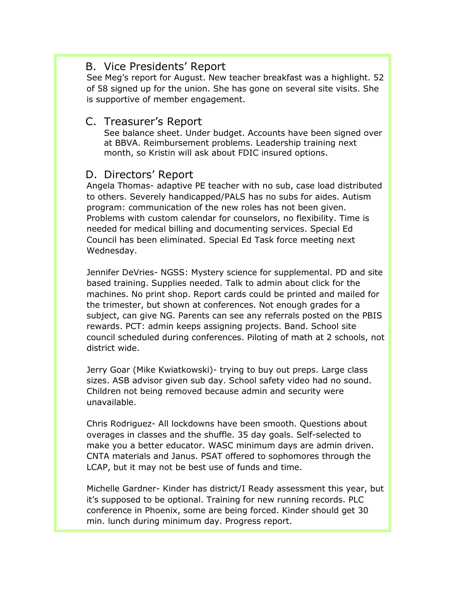#### B. Vice Presidents' Report

See Meg's report for August. New teacher breakfast was a highlight. 52 of 58 signed up for the union. She has gone on several site visits. She is supportive of member engagement.

#### C. Treasurer's Report

See balance sheet. Under budget. Accounts have been signed over at BBVA. Reimbursement problems. Leadership training next month, so Kristin will ask about FDIC insured options.

### D. Directors' Report

Angela Thomas- adaptive PE teacher with no sub, case load distributed to others. Severely handicapped/PALS has no subs for aides. Autism program: communication of the new roles has not been given. Problems with custom calendar for counselors, no flexibility. Time is needed for medical billing and documenting services. Special Ed Council has been eliminated. Special Ed Task force meeting next Wednesday.

Jennifer DeVries- NGSS: Mystery science for supplemental. PD and site based training. Supplies needed. Talk to admin about click for the machines. No print shop. Report cards could be printed and mailed for the trimester, but shown at conferences. Not enough grades for a subject, can give NG. Parents can see any referrals posted on the PBIS rewards. PCT: admin keeps assigning projects. Band. School site council scheduled during conferences. Piloting of math at 2 schools, not district wide.

Jerry Goar (Mike Kwiatkowski)- trying to buy out preps. Large class sizes. ASB advisor given sub day. School safety video had no sound. Children not being removed because admin and security were unavailable.

Chris Rodriguez- All lockdowns have been smooth. Questions about overages in classes and the shuffle. 35 day goals. Self-selected to make you a better educator. WASC minimum days are admin driven. CNTA materials and Janus. PSAT offered to sophomores through the LCAP, but it may not be best use of funds and time.

Michelle Gardner- Kinder has district/I Ready assessment this year, but it's supposed to be optional. Training for new running records. PLC conference in Phoenix, some are being forced. Kinder should get 30 min. lunch during minimum day. Progress report.